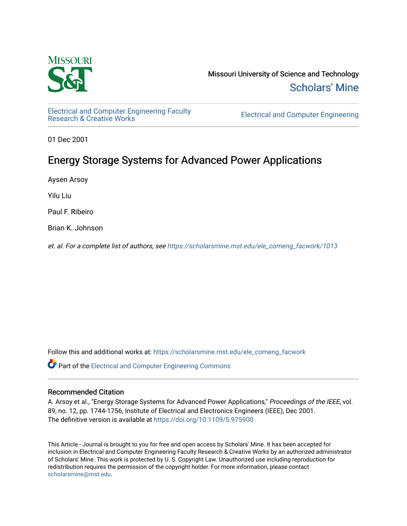

Missouri University of Science and Technology [Scholars' Mine](https://scholarsmine.mst.edu/) 

[Electrical and Computer Engineering Faculty](https://scholarsmine.mst.edu/ele_comeng_facwork)

**Electrical and Computer Engineering** 

01 Dec 2001

## Energy Storage Systems for Advanced Power Applications

Aysen Arsoy

Yilu Liu

Paul F. Ribeiro

Brian K. Johnson

et. al. For a complete list of authors, see [https://scholarsmine.mst.edu/ele\\_comeng\\_facwork/1013](https://scholarsmine.mst.edu/ele_comeng_facwork/1013) 

Follow this and additional works at: [https://scholarsmine.mst.edu/ele\\_comeng\\_facwork](https://scholarsmine.mst.edu/ele_comeng_facwork?utm_source=scholarsmine.mst.edu%2Fele_comeng_facwork%2F1013&utm_medium=PDF&utm_campaign=PDFCoverPages)

**C** Part of the Electrical and Computer Engineering Commons

## Recommended Citation

A. Arsoy et al., "Energy Storage Systems for Advanced Power Applications," Proceedings of the IEEE, vol. 89, no. 12, pp. 1744-1756, Institute of Electrical and Electronics Engineers (IEEE), Dec 2001. The definitive version is available at <https://doi.org/10.1109/5.975900>

This Article - Journal is brought to you for free and open access by Scholars' Mine. It has been accepted for inclusion in Electrical and Computer Engineering Faculty Research & Creative Works by an authorized administrator of Scholars' Mine. This work is protected by U. S. Copyright Law. Unauthorized use including reproduction for redistribution requires the permission of the copyright holder. For more information, please contact [scholarsmine@mst.edu.](mailto:scholarsmine@mst.edu)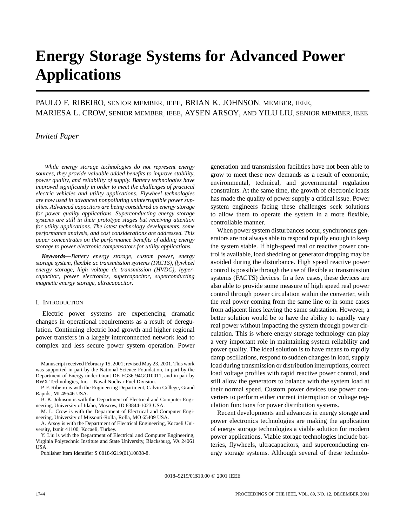# **Energy Storage Systems for Advanced Power Applications**

## PAULO F. RIBEIRO, SENIOR MEMBER, IEEE, BRIAN K. JOHNSON, MEMBER, IEEE, MARIESA L. CROW, SENIOR MEMBER, IEEE, AYSEN ARSOY, AND YILU LIU, SENIOR MEMBER, IEEE

## *Invited Paper*

*While energy storage technologies do not represent energy sources, they provide valuable added benefits to improve stability, power quality, and reliability of supply. Battery technologies have improved significantly in order to meet the challenges of practical electric vehicles and utility applications. Flywheel technologies are now used in advanced nonpolluting uninterruptible power supplies. Advanced capacitors are being considered as energy storage for power quality applications. Superconducting energy storage systems are still in their prototype stages but receiving attention for utility applications. The latest technology developments, some performance analysis, and cost considerations are addressed. This paper concentrates on the performance benefits of adding energy storage to power electronic compensators for utility applications.*

*Keywords—Battery energy storage, custom power, energy storage system, flexible ac transmission systems (FACTS), flywheel energy storage, high voltage dc transmission (HVDC), hypercapacitor, power electronics, supercapacitor, superconducting magnetic energy storage, ultracapacitor.*

#### I. INTRODUCTION

Electric power systems are experiencing dramatic changes in operational requirements as a result of deregulation. Continuing electric load growth and higher regional power transfers in a largely interconnected network lead to complex and less secure power system operation. Power

A. Arsoy is with the Department of Electrical Engineering, Kocaeli University, Izmit 41100, Kocaeli, Turkey.

Y. Liu is with the Department of Electrical and Computer Engineering, Virginia Polytechnic Institute and State University, Blacksburg, VA 24061 USA.

Publisher Item Identifier S 0018-9219(01)10838-8.

generation and transmission facilities have not been able to grow to meet these new demands as a result of economic, environmental, technical, and governmental regulation constraints. At the same time, the growth of electronic loads has made the quality of power supply a critical issue. Power system engineers facing these challenges seek solutions to allow them to operate the system in a more flexible, controllable manner.

When power system disturbances occur, synchronous generators are not always able to respond rapidly enough to keep the system stable. If high-speed real or reactive power control is available, load shedding or generator dropping may be avoided during the disturbance. High speed reactive power control is possible through the use of flexible ac transmission systems (FACTS) devices. In a few cases, these devices are also able to provide some measure of high speed real power control through power circulation within the converter, with the real power coming from the same line or in some cases from adjacent lines leaving the same substation. However, a better solution would be to have the ability to rapidly vary real power without impacting the system through power circulation. This is where energy storage technology can play a very important role in maintaining system reliability and power quality. The ideal solution is to have means to rapidly damp oscillations, respond to sudden changes in load, supply load during transmission or distribution interruptions, correct load voltage profiles with rapid reactive power control, and still allow the generators to balance with the system load at their normal speed. Custom power devices use power converters to perform either current interruption or voltage regulation functions for power distribution systems.

Recent developments and advances in energy storage and power electronics technologies are making the application of energy storage technologies a viable solution for modern power applications. Viable storage technologies include batteries, flywheels, ultracapacitors, and superconducting energy storage systems. Although several of these technolo-

0018–9219/01\$10.00 © 2001 IEEE

Manuscript received February 15, 2001; revised May 23, 2001. This work was supported in part by the National Science Foundation, in part by the Department of Energy under Grant DE-FG36-94GO10011, and in part by BWX Technologies, Inc.—Naval Nuclear Fuel Division.

P. F. Ribeiro is with the Engineering Department, Calvin College, Grand Rapids, MI 49546 USA.

B. K. Johnson is with the Department of Electrical and Computer Engineering, University of Idaho, Moscow, ID 83844-1023 USA.

M. L. Crow is with the Department of Electrical and Computer Engineering, University of Missouri-Rolla, Rolla, MO 65409 USA.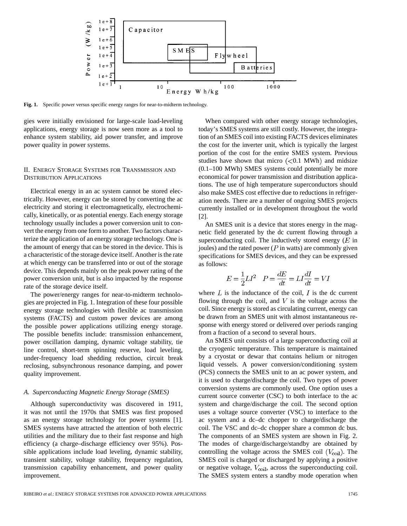

**Fig. 1.** Specific power versus specific energy ranges for near-to-midterm technology.

gies were initially envisioned for large-scale load-leveling applications, energy storage is now seen more as a tool to enhance system stability, aid power transfer, and improve power quality in power systems.

## II. ENERGY STORAGE SYSTEMS FOR TRANSMISSION AND DISTRIBUTION APPLICATIONS

Electrical energy in an ac system cannot be stored electrically. However, energy can be stored by converting the ac electricity and storing it electromagnetically, electrochemically, kinetically, or as potential energy. Each energy storage technology usually includes a power conversion unit to convert the energy from one form to another. Two factors characterize the application of an energy storage technology. One is the amount of energy that can be stored in the device. This is a characteristic of the storage device itself. Another is the rate at which energy can be transferred into or out of the storage device. This depends mainly on the peak power rating of the power conversion unit, but is also impacted by the response rate of the storage device itself.

The power/energy ranges for near-to-midterm technologies are projected in Fig. 1. Integration of these four possible energy storage technologies with flexible ac transmission systems (FACTS) and custom power devices are among the possible power applications utilizing energy storage. The possible benefits include: transmission enhancement, power oscillation damping, dynamic voltage stability, tie line control, short-term spinning reserve, load leveling, under-frequency load shedding reduction, circuit break reclosing, subsynchronous resonance damping, and power quality improvement.

#### *A. Superconducting Magnetic Energy Storage (SMES)*

Although superconductivity was discovered in 1911, it was not until the 1970s that SMES was first proposed as an energy storage technology for power systems [1]. SMES systems have attracted the attention of both electric utilities and the military due to their fast response and high efficiency (a charge–discharge efficiency over 95%). Possible applications include load leveling, dynamic stability, transient stability, voltage stability, frequency regulation, transmission capability enhancement, and power quality improvement.

When compared with other energy storage technologies, today's SMES systems are still costly. However, the integration of an SMES coil into existing FACTS devices eliminates the cost for the inverter unit, which is typically the largest portion of the cost for the entire SMES system. Previous studies have shown that micro  $( $0.1$  MWh) and midsize$ (0.1–100 MWh) SMES systems could potentially be more economical for power transmission and distribution applications. The use of high temperature superconductors should also make SMES cost effective due to reductions in refrigeration needs. There are a number of ongoing SMES projects currently installed or in development throughout the world [2].

An SMES unit is a device that stores energy in the magnetic field generated by the dc current flowing through a superconducting coil. The inductively stored energy  $(E$  in joules) and the rated power ( $P$  in watts) are commonly given specifications for SMES devices, and they can be expressed as follows:

$$
E = \frac{1}{2}LI^2 \quad P = \frac{dE}{dt} = LI\frac{dI}{dt} = VI
$$

where  $L$  is the inductance of the coil,  $I$  is the dc current flowing through the coil, and  $V$  is the voltage across the coil. Since energy is stored as circulating current, energy can be drawn from an SMES unit with almost instantaneous response with energy stored or delivered over periods ranging from a fraction of a second to several hours.

An SMES unit consists of a large superconducting coil at the cryogenic temperature. This temperature is maintained by a cryostat or dewar that contains helium or nitrogen liquid vessels. A power conversion/conditioning system (PCS) connects the SMES unit to an ac power system, and it is used to charge/discharge the coil. Two types of power conversion systems are commonly used. One option uses a current source converter (CSC) to both interface to the ac system and charge/discharge the coil. The second option uses a voltage source converter (VSC) to interface to the ac system and a dc–dc chopper to charge/discharge the coil. The VSC and dc–dc chopper share a common dc bus. The components of an SMES system are shown in Fig. 2. The modes of charge/discharge/standby are obtained by controlling the voltage across the SMES coil  $(V_{\text{coil}})$ . The SMES coil is charged or discharged by applying a positive or negative voltage,  $V_{\text{coil}}$ , across the superconducting coil. The SMES system enters a standby mode operation when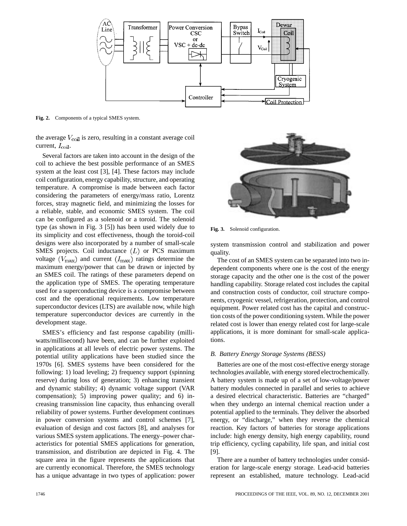

**Fig. 2.** Components of a typical SMES system.

the average  $V_{\text{coil}}$  is zero, resulting in a constant average coil current,  $I_{\rm coil}$ .

Several factors are taken into account in the design of the coil to achieve the best possible performance of an SMES system at the least cost [3], [4]. These factors may include coil configuration, energy capability, structure, and operating temperature. A compromise is made between each factor considering the parameters of energy/mass ratio, Lorentz forces, stray magnetic field, and minimizing the losses for a reliable, stable, and economic SMES system. The coil can be configured as a solenoid or a toroid. The solenoid type (as shown in Fig. 3 [5]) has been used widely due to its simplicity and cost effectiveness, though the toroid-coil designs were also incorporated by a number of small-scale SMES projects. Coil inductance  $(L)$  or PCS maximum voltage  $(V_{\text{max}})$  and current  $(I_{\text{max}})$  ratings determine the maximum energy/power that can be drawn or injected by an SMES coil. The ratings of these parameters depend on the application type of SMES. The operating temperature used for a superconducting device is a compromise between cost and the operational requirements. Low temperature superconductor devices (LTS) are available now, while high temperature superconductor devices are currently in the development stage.

SMES's efficiency and fast response capability (milliwatts/millisecond) have been, and can be further exploited in applications at all levels of electric power systems. The potential utility applications have been studied since the 1970s [6]. SMES systems have been considered for the following: 1) load leveling; 2) frequency support (spinning reserve) during loss of generation; 3) enhancing transient and dynamic stability; 4) dynamic voltage support (VAR compensation); 5) improving power quality; and 6) increasing transmission line capacity, thus enhancing overall reliability of power systems. Further development continues in power conversion systems and control schemes [7], evaluation of design and cost factors [8], and analyses for various SMES system applications. The energy–power characteristics for potential SMES applications for generation, transmission, and distribution are depicted in Fig. 4. The square area in the figure represents the applications that are currently economical. Therefore, the SMES technology has a unique advantage in two types of application: power



**Fig. 3.** Solenoid configuration.

system transmission control and stabilization and power quality.

The cost of an SMES system can be separated into two independent components where one is the cost of the energy storage capacity and the other one is the cost of the power handling capability. Storage related cost includes the capital and construction costs of conductor, coil structure components, cryogenic vessel, refrigeration, protection, and control equipment. Power related cost has the capital and construction costs of the power conditioning system. While the power related cost is lower than energy related cost for large-scale applications, it is more dominant for small-scale applications.

## *B. Battery Energy Storage Systems (BESS)*

Batteries are one of the most cost-effective energy storage technologies available, with energy stored electrochemically. A battery system is made up of a set of low-voltage/power battery modules connected in parallel and series to achieve a desired electrical characteristic. Batteries are "charged" when they undergo an internal chemical reaction under a potential applied to the terminals. They deliver the absorbed energy, or "discharge," when they reverse the chemical reaction. Key factors of batteries for storage applications include: high energy density, high energy capability, round trip efficiency, cycling capability, life span, and initial cost [9].

There are a number of battery technologies under consideration for large-scale energy storage. Lead-acid batteries represent an established, mature technology. Lead-acid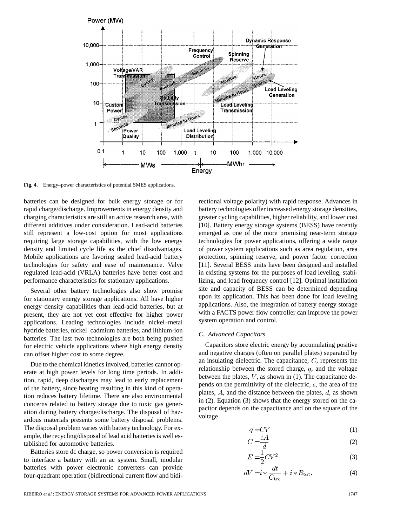

**Fig. 4.** Energy–power characteristics of potential SMES applications.

batteries can be designed for bulk energy storage or for rapid charge/discharge. Improvements in energy density and charging characteristics are still an active research area, with different additives under consideration. Lead-acid batteries still represent a low-cost option for most applications requiring large storage capabilities, with the low energy density and limited cycle life as the chief disadvantages. Mobile applications are favoring sealed lead-acid battery technologies for safety and ease of maintenance. Valve regulated lead-acid (VRLA) batteries have better cost and performance characteristics for stationary applications.

Several other battery technologies also show promise for stationary energy storage applications. All have higher energy density capabilities than lead-acid batteries, but at present, they are not yet cost effective for higher power applications. Leading technologies include nickel–metal hydride batteries, nickel–cadmium batteries, and lithium-ion batteries. The last two technologies are both being pushed for electric vehicle applications where high energy density can offset higher cost to some degree.

Due to the chemical kinetics involved, batteries cannot operate at high power levels for long time periods. In addition, rapid, deep discharges may lead to early replacement of the battery, since heating resulting in this kind of operation reduces battery lifetime. There are also environmental concerns related to battery storage due to toxic gas generation during battery charge/discharge. The disposal of hazardous materials presents some battery disposal problems. The disposal problem varies with battery technology. For example, the recycling/disposal of lead acid batteries is well established for automotive batteries.

Batteries store dc charge, so power conversion is required to interface a battery with an ac system. Small, modular batteries with power electronic converters can provide four-quadrant operation (bidirectional current flow and bidirectional voltage polarity) with rapid response. Advances in battery technologies offer increased energy storage densities, greater cycling capabilities, higher reliability, and lower cost [10]. Battery energy storage systems (BESS) have recently emerged as one of the more promising near-term storage technologies for power applications, offering a wide range of power system applications such as area regulation, area protection, spinning reserve, and power factor correction [11]. Several BESS units have been designed and installed in existing systems for the purposes of load leveling, stabilizing, and load frequency control [12]. Optimal installation site and capacity of BESS can be determined depending upon its application. This has been done for load leveling applications. Also, the integration of battery energy storage with a FACTS power flow controller can improve the power system operation and control.

#### *C. Advanced Capacitors*

Capacitors store electric energy by accumulating positive and negative charges (often on parallel plates) separated by an insulating dielectric. The capacitance,  $C$ , represents the relationship between the stored charge,  $q$ , and the voltage between the plates,  $V$ , as shown in (1). The capacitance depends on the permittivity of the dielectric,  $\varepsilon$ , the area of the plates,  $A$ , and the distance between the plates,  $d$ , as shown in (2). Equation (3) shows that the energy stored on the capacitor depends on the capacitance and on the square of the voltage

$$
q = CV \tag{1}
$$

$$
C = \frac{\varepsilon A}{d} \tag{2}
$$

$$
E = \frac{1}{2}CV^2\tag{3}
$$

$$
dV = i * \frac{dt}{C_{\text{tot}}} + i * R_{\text{tot}}.
$$
 (4)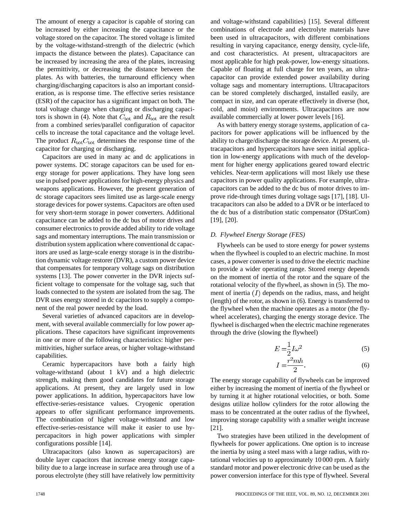The amount of energy a capacitor is capable of storing can be increased by either increasing the capacitance or the voltage stored on the capacitor. The stored voltage is limited by the voltage-withstand-strength of the dielectric (which impacts the distance between the plates). Capacitance can be increased by increasing the area of the plates, increasing the permittivity, or decreasing the distance between the plates. As with batteries, the turnaround efficiency when charging/discharging capacitors is also an important consideration, as is response time. The effective series resistance (ESR) of the capacitor has a significant impact on both. The total voltage change when charging or discharging capacitors is shown in (4). Note that  $C_{\text{tot}}$  and  $R_{\text{tot}}$  are the result from a combined series/parallel configuration of capacitor cells to increase the total capacitance and the voltage level. The product  $R_{\text{tot}}C_{\text{tot}}$  determines the response time of the capacitor for charging or discharging.

Capacitors are used in many ac and dc applications in power systems. DC storage capacitors can be used for energy storage for power applications. They have long seen use in pulsed power applications for high-energy physics and weapons applications. However, the present generation of dc storage capacitors sees limited use as large-scale energy storage devices for power systems. Capacitors are often used for very short-term storage in power converters. Additional capacitance can be added to the dc bus of motor drives and consumer electronics to provide added ability to ride voltage sags and momentary interruptions. The main transmission or distribution system application where conventional dc capacitors are used as large-scale energy storage is in the distribution dynamic voltage restorer (DVR), a custom power device that compensates for temporary voltage sags on distribution systems [13]. The power converter in the DVR injects sufficient voltage to compensate for the voltage sag, such that loads connected to the system are isolated from the sag. The DVR uses energy stored in dc capacitors to supply a component of the real power needed by the load.

Several varieties of advanced capacitors are in development, with several available commercially for low power applications. These capacitors have significant improvements in one or more of the following characteristics: higher permittivities, higher surface areas, or higher voltage-withstand capabilities.

Ceramic hypercapacitors have both a fairly high voltage-withstand (about 1 kV) and a high dielectric strength, making them good candidates for future storage applications. At present, they are largely used in low power applications. In addition, hypercapacitors have low effective-series-resistance values. Cryogenic operation appears to offer significant performance improvements. The combination of higher voltage-withstand and low effective-series-resistance will make it easier to use hypercapacitors in high power applications with simpler configurations possible [14].

Ultracapacitors (also known as supercapacitors) are double layer capacitors that increase energy storage capability due to a large increase in surface area through use of a porous electrolyte (they still have relatively low permittivity

and voltage-withstand capabilities) [15]. Several different combinations of electrode and electrolyte materials have been used in ultracapacitors, with different combinations resulting in varying capacitance, energy density, cycle-life, and cost characteristics. At present, ultracapacitors are most applicable for high peak-power, low-energy situations. Capable of floating at full charge for ten years, an ultracapacitor can provide extended power availability during voltage sags and momentary interruptions. Ultracapacitors can be stored completely discharged, installed easily, are compact in size, and can operate effectively in diverse (hot, cold, and moist) environments. Ultracapacitors are now available commercially at lower power levels [16].

As with battery energy storage systems, application of capacitors for power applications will be influenced by the ability to charge/discharge the storage device. At present, ultracapacitors and hypercapacitors have seen initial application in low-energy applications with much of the development for higher energy applications geared toward electric vehicles. Near-term applications will most likely use these capacitors in power quality applications. For example, ultracapacitors can be added to the dc bus of motor drives to improve ride-through times during voltage sags [17], [18]. Ultracapacitors can also be added to a DVR or be interfaced to the dc bus of a distribution static compensator (DStatCom) [19], [20].

## *D. Flywheel Energy Storage (FES)*

Flywheels can be used to store energy for power systems when the flywheel is coupled to an electric machine. In most cases, a power converter is used to drive the electric machine to provide a wider operating range. Stored energy depends on the moment of inertia of the rotor and the square of the rotational velocity of the flywheel, as shown in (5). The moment of inertia  $(I)$  depends on the radius, mass, and height (length) of the rotor, as shown in (6). Energy is transferred to the flywheel when the machine operates as a motor (the flywheel accelerates), charging the energy storage device. The flywheel is discharged when the electric machine regenerates through the drive (slowing the flywheel)

$$
E = \frac{1}{2}I\omega^2\tag{5}
$$

$$
I = \frac{r^2 m h}{2}.\tag{6}
$$

The energy storage capability of flywheels can be improved either by increasing the moment of inertia of the flywheel or by turning it at higher rotational velocities, or both. Some designs utilize hollow cylinders for the rotor allowing the mass to be concentrated at the outer radius of the flywheel, improving storage capability with a smaller weight increase [21].

Two strategies have been utilized in the development of flywheels for power applications. One option is to increase the inertia by using a steel mass with a large radius, with rotational velocities up to approximately 10 000 rpm. A fairly standard motor and power electronic drive can be used as the power conversion interface for this type of flywheel. Several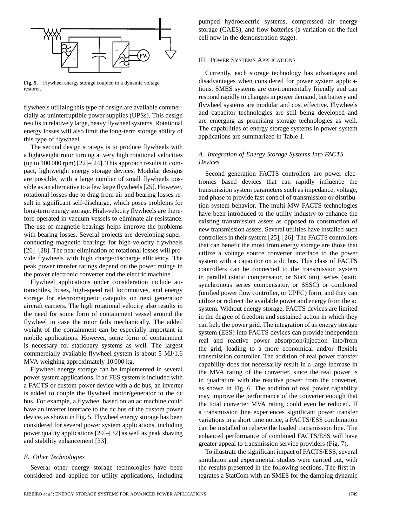

**Fig. 5.** Flywheel energy storage coupled to a dynamic voltage restorer.

flywheels utilizing this type of design are available commercially as uninterruptible power supplies (UPSs). This design results in relatively large, heavy flywheel systems. Rotational energy losses will also limit the long-term storage ability of this type of flywheel.

The second design strategy is to produce flywheels with a lightweight rotor turning at very high rotational velocities (up to 100 000 rpm) [22]–[24]. This approach results in compact, lightweight energy storage devices. Modular designs are possible, with a large number of small flywheels possible as an alternative to a few large flywheels [25]. However, rotational losses due to drag from air and bearing losses result in significant self-discharge, which poses problems for long-term energy storage. High-velocity flywheels are therefore operated in vacuum vessels to eliminate air resistance. The use of magnetic bearings helps improve the problems with bearing losses. Several projects are developing superconducting magnetic bearings for high-velocity flywheels [26]–[28]. The near elimination of rotational losses will provide flywheels with high charge/discharge efficiency. The peak power transfer ratings depend on the power ratings in the power electronic converter and the electric machine.

Flywheel applications under consideration include automobiles, buses, high-speed rail locomotives, and energy storage for electromagnetic catapults on next generation aircraft carriers. The high rotational velocity also results in the need for some form of containment vessel around the flywheel in case the rotor fails mechanically. The added weight of the containment can be especially important in mobile applications. However, some form of containment is necessary for stationary systems as well. The largest commercially available flywheel system is about 5 MJ/1.6 MVA weighing approximately 10 000 kg.

Flywheel energy storage can be implemented in several power system applications. If an FES system is included with a FACTS or custom power device with a dc bus, an inverter is added to couple the flywheel motor/generator to the dc bus. For example, a flywheel based on an ac machine could have an inverter interface to the dc bus of the custom power device, as shown in Fig. 5. Flywheel energy storage has been considered for several power system applications, including power quality applications [29]–[32] as well as peak shaving and stability enhancement [33].

#### *E. Other Technologies*

Several other energy storage technologies have been considered and applied for utility applications, including

pumped hydroelectric systems, compressed air energy storage (CAES), and flow batteries (a variation on the fuel cell now in the demonstration stage).

## III. POWER SYSTEMS APPLICATIONS

Currently, each storage technology has advantages and disadvantages when considered for power system applications. SMES systems are environmentally friendly and can respond rapidly to changes in power demand, but battery and flywheel systems are modular and cost effective. Flywheels and capacitor technologies are still being developed and are emerging as promising storage technologies as well. The capabilities of energy storage systems in power system applications are summarized in Table 1.

## *A. Integration of Energy Storage Systems Into FACTS Devices*

Second generation FACTS controllers are power electronics based devices that can rapidly influence the transmission system parameters such as impedance, voltage, and phase to provide fast control of transmission or distribution system behavior. The multi-MW FACTS technologies have been introduced to the utility industry to enhance the existing transmission assets as opposed to construction of new transmission assets. Several utilities have installed such controllers in their system [25], [26]. The FACTS controllers that can benefit the most from energy storage are those that utilize a voltage source converter interface to the power system with a capacitor on a dc bus. This class of FACTS controllers can be connected to the transmission system in parallel (static compensator, or StatCom), series (static synchronous series compensator, or SSSC) or combined (unified power flow controller, or UPFC) form, and they can utilize or redirect the available power and energy from the ac system. Without energy storage, FACTS devices are limited in the degree of freedom and sustained action in which they can help the power grid. The integration of an energy storage system (ESS) into FACTS devices can provide independent real and reactive power absorption/injection into/from the grid, leading to a more economical and/or flexible transmission controller. The addition of real power transfer capability does not necessarily result in a large increase in the MVA rating of the converter, since the real power is in quadrature with the reactive power from the converter, as shown in Fig. 6. The addition of real power capability may improve the performance of the converter enough that the total converter MVA rating could even be reduced. If a transmission line experiences significant power transfer variations in a short time notice, a FACTS/ESS combination can be installed to relieve the loaded transmission line. The enhanced performance of combined FACTS/ESS will have greater appeal to transmission service providers (Fig. 7).

To illustrate the significant impact of FACTS/ESS, several simulation and experimental studies were carried out, with the results presented in the following sections. The first integrates a StatCom with an SMES for the damping dynamic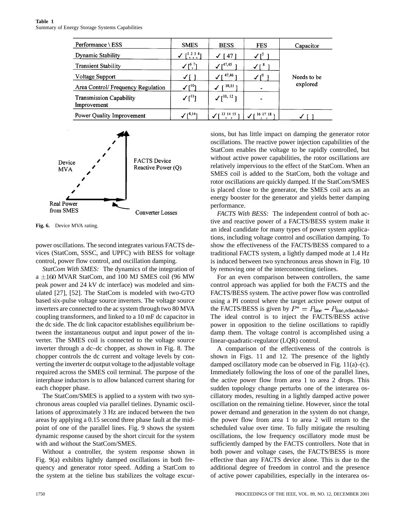| Performance \ ESS                             | <b>SMES</b>                                                       | <b>BESS</b>                        | <b>FES</b>                | Capacitor               |
|-----------------------------------------------|-------------------------------------------------------------------|------------------------------------|---------------------------|-------------------------|
| <b>Dynamic Stability</b>                      | $\checkmark$ $\left[\frac{1}{2}, \frac{2}{3}, \frac{4}{3}\right]$ | . 47 1                             | $\checkmark$ $\checkmark$ | Needs to be<br>explored |
| <b>Transient Stability</b>                    | $\checkmark$ [, $\checkmark$ ]                                    | $\checkmark$ $\Gamma^{47,45}$      |                           |                         |
| Voltage Support                               |                                                                   | $47,46$ 1                          |                           |                         |
| Area Control/ Frequency Regulation            | $\mathcal{L}\mathfrak{l}^{10}$ l                                  | $10,11$ ,                          |                           |                         |
| <b>Transmission Capability</b><br>Improvement | $\checkmark$ <sup>[11</sup> ]                                     | $\mathcal{I}[$ <sup>10, 12</sup> ] |                           |                         |
| Power Quality Improvement                     | $\mathcal{N}$ [ $^{8,14}$ ]                                       | $\sqrt{1^{13}$ , 14, 15, 1         | $\sqrt{1^{16}}$ 17 18 1   |                         |



**Fig. 6.** Device MVA rating.

power oscillations. The second integrates various FACTS devices (StatCom, SSSC, and UPFC) with BESS for voltage control, power flow control, and oscillation damping.

*StatCom With SMES:* The dynamics of the integration of a  $\pm 160$  MVAR StatCom, and 100 MJ SMES coil (96 MW peak power and 24 kV dc interface) was modeled and simulated [27], [52]. The StatCom is modeled with two-GTO based six-pulse voltage source inverters. The voltage source inverters are connected to the ac system through two 80 MVA coupling transformers, and linked to a 10 mF dc capacitor in the dc side. The dc link capacitor establishes equilibrium between the instantaneous output and input power of the inverter. The SMES coil is connected to the voltage source inverter through a dc–dc chopper, as shown in Fig. 8. The chopper controls the dc current and voltage levels by converting the inverter dc output voltage to the adjustable voltage required across the SMES coil terminal. The purpose of the interphase inductors is to allow balanced current sharing for each chopper phase.

The StatCom/SMES is applied to a system with two synchronous areas coupled via parallel tielines. Dynamic oscillations of approximately 3 Hz are induced between the two areas by applying a 0.15 second three phase fault at the midpoint of one of the parallel lines. Fig. 9 shows the system dynamic response caused by the short circuit for the system with and without the StatCom/SMES.

Without a controller, the system response shown in Fig. 9(a) exhibits lightly damped oscillations in both frequency and generator rotor speed. Adding a StatCom to the system at the tieline bus stabilizes the voltage excursions, but has little impact on damping the generator rotor oscillations. The reactive power injection capabilities of the StatCom enables the voltage to be rapidly controlled, but without active power capabilities, the rotor oscillations are relatively impervious to the effect of the StatCom. When an SMES coil is added to the StatCom, both the voltage and rotor oscillations are quickly damped. If the StatCom/SMES is placed close to the generator, the SMES coil acts as an energy booster for the generator and yields better damping performance.

*FACTS With BESS:* The independent control of both active and reactive power of a FACTS/BESS system make it an ideal candidate for many types of power system applications, including voltage control and oscillation damping. To show the effectiveness of the FACTS/BESS compared to a traditional FACTS system, a lightly damped mode at 1.4 Hz is induced between two synchronous areas shown in Fig. 10 by removing one of the interconnecting tielines.

For an even comparison between controllers, the same control approach was applied for both the FACTS and the FACTS/BESS system. The active power flow was controlled using a PI control where the target active power output of the FACTS/BESS is given by  $P^* = P_{\text{line}} - P_{\text{line,scheduled}}$ . The ideal control is to inject the FACTS/BESS active power in opposition to the tieline oscillations to rapidly damp them. The voltage control is accomplished using a linear-quadratic-regulator (LQR) control.

A comparison of the effectiveness of the controls is shown in Figs. 11 and 12. The presence of the lightly damped oscillatory mode can be observed in Fig. 11(a)–(c). Immediately following the loss of one of the parallel lines, the active power flow from area 1 to area 2 drops. This sudden topology change perturbs one of the interarea oscillatory modes, resulting in a lightly damped active power oscillation on the remaining tieline. However, since the total power demand and generation in the system do not change, the power flow from area 1 to area 2 will return to the scheduled value over time. To fully mitigate the resulting oscillations, the low frequency oscillatory mode must be sufficiently damped by the FACTS controllers. Note that in both power and voltage cases, the FACTS/BESS is more effective than any FACTS device alone. This is due to the additional degree of freedom in control and the presence of active power capabilities, especially in the interarea os-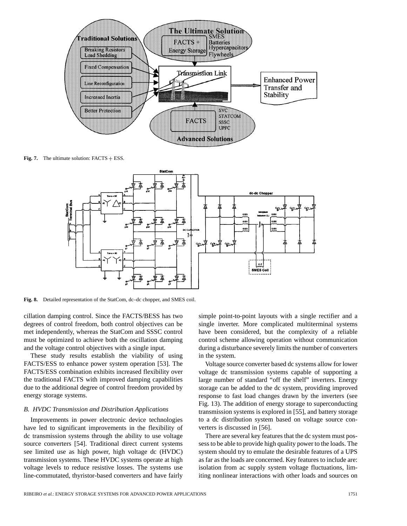

**Fig. 7.** The ultimate solution: FACTS + ESS.



**Fig. 8.** Detailed representation of the StatCom, dc–dc chopper, and SMES coil.

cillation damping control. Since the FACTS/BESS has two degrees of control freedom, both control objectives can be met independently, whereas the StatCom and SSSC control must be optimized to achieve both the oscillation damping and the voltage control objectives with a single input.

These study results establish the viability of using FACTS/ESS to enhance power system operation [53]. The FACTS/ESS combination exhibits increased flexibility over the traditional FACTS with improved damping capabilities due to the additional degree of control freedom provided by energy storage systems.

### *B. HVDC Transmission and Distribution Applications*

Improvements in power electronic device technologies have led to significant improvements in the flexibility of dc transmission systems through the ability to use voltage source converters [54]. Traditional direct current systems see limited use as high power, high voltage dc (HVDC) transmission systems. These HVDC systems operate at high voltage levels to reduce resistive losses. The systems use line-commutated, thyristor-based converters and have fairly

simple point-to-point layouts with a single rectifier and a single inverter. More complicated multiterminal systems have been considered, but the complexity of a reliable control scheme allowing operation without communication during a disturbance severely limits the number of converters in the system.

Voltage source converter based dc systems allow for lower voltage dc transmission systems capable of supporting a large number of standard "off the shelf" inverters. Energy storage can be added to the dc system, providing improved response to fast load changes drawn by the inverters (see Fig. 13). The addition of energy storage to superconducting transmission systems is explored in [55], and battery storage to a dc distribution system based on voltage source converters is discussed in [56].

There are several key features that the dc system must possess to be able to provide high quality power to the loads. The system should try to emulate the desirable features of a UPS as far as the loads are concerned. Key features to include are: isolation from ac supply system voltage fluctuations, limiting nonlinear interactions with other loads and sources on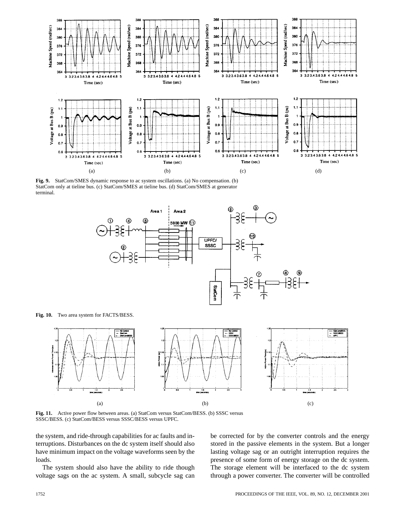

**Fig. 9.** StatCom/SMES dynamic response to ac system oscillations. (a) No compensation. (b) StatCom only at tieline bus. (c) StatCom/SMES at tieline bus. (d) StatCom/SMES at generator terminal.



**Fig. 10.** Two area system for FACTS/BESS.



**Fig. 11.** Active power flow between areas. (a) StatCom versus StatCom/BESS. (b) SSSC versus SSSC/BESS. (c) StatCom/BESS versus SSSC/BESS versus UPFC.

the system, and ride-through capabilities for ac faults and interruptions. Disturbances on the dc system itself should also have minimum impact on the voltage waveforms seen by the loads.

The system should also have the ability to ride though voltage sags on the ac system. A small, subcycle sag can be corrected for by the converter controls and the energy stored in the passive elements in the system. But a longer lasting voltage sag or an outright interruption requires the presence of some form of energy storage on the dc system. The storage element will be interfaced to the dc system through a power converter. The converter will be controlled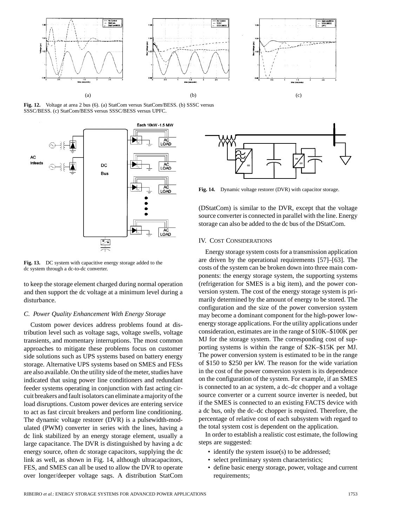

**Fig. 12.** Voltage at area 2 bus (6). (a) StatCom versus StatCom/BESS. (b) SSSC versus SSSC/BESS. (c) StatCom/BESS versus SSSC/BESS versus UPFC.



**Fig. 13.** DC system with capacitive energy storage added to the dc system through a dc-to-dc converter.

to keep the storage element charged during normal operation and then support the dc voltage at a minimum level during a disturbance.

## *C. Power Quality Enhancement With Energy Storage*

Custom power devices address problems found at distribution level such as voltage sags, voltage swells, voltage transients, and momentary interruptions. The most common approaches to mitigate these problems focus on customer side solutions such as UPS systems based on battery energy storage. Alternative UPS systems based on SMES and FESs are also available. On the utility side of the meter, studies have indicated that using power line conditioners and redundant feeder systems operating in conjunction with fast acting circuit breakers and fault isolators can eliminate a majority of the load disruptions. Custom power devices are entering service to act as fast circuit breakers and perform line conditioning. The dynamic voltage restorer (DVR) is a pulsewidth-modulated (PWM) converter in series with the lines, having a dc link stabilized by an energy storage element, usually a large capacitance. The DVR is distinguished by having a dc energy source, often dc storage capacitors, supplying the dc link as well, as shown in Fig. 14, although ultracapacitors, FES, and SMES can all be used to allow the DVR to operate over longer/deeper voltage sags. A distribution StatCom



**Fig. 14.** Dynamic voltage restorer (DVR) with capacitor storage.

(DStatCom) is similar to the DVR, except that the voltage source converter is connected in parallel with the line. Energy storage can also be added to the dc bus of the DStatCom.

## IV. COST CONSIDERATIONS

Energy storage system costs for a transmission application are driven by the operational requirements [57]–[63]. The costs of the system can be broken down into three main components: the energy storage system, the supporting systems (refrigeration for SMES is a big item), and the power conversion system. The cost of the energy storage system is primarily determined by the amount of energy to be stored. The configuration and the size of the power conversion system may become a dominant component for the high-power lowenergy storage applications. For the utility applications under consideration, estimates are in the range of \$10K–\$100K per MJ for the storage system. The corresponding cost of supporting systems is within the range of \$2K–\$15K per MJ. The power conversion system is estimated to be in the range of \$150 to \$250 per kW. The reason for the wide variation in the cost of the power conversion system is its dependence on the configuration of the system. For example, if an SMES is connected to an ac system, a dc–dc chopper and a voltage source converter or a current source inverter is needed, but if the SMES is connected to an existing FACTS device with a dc bus, only the dc–dc chopper is required. Therefore, the percentage of relative cost of each subsystem with regard to the total system cost is dependent on the application.

In order to establish a realistic cost estimate, the following steps are suggested:

- identify the system issue(s) to be addressed;
- select preliminary system characteristics;
- define basic energy storage, power, voltage and current requirements;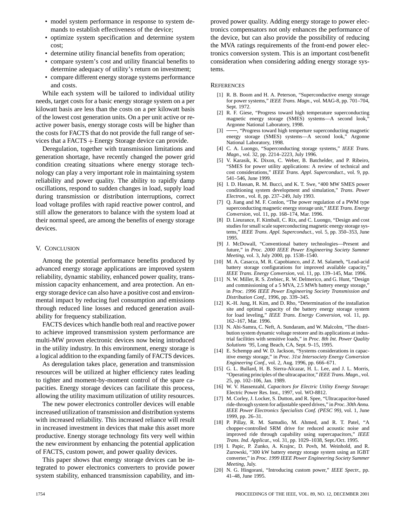- model system performance in response to system demands to establish effectiveness of the device;
- optimize system specification and determine system cost;
- determine utility financial benefits from operation;
- compare system's cost and utility financial benefits to determine adequacy of utility's return on investment;
- compare different energy storage systems performance and costs.

While each system will be tailored to individual utility needs, target costs for a basic energy storage system on a per kilowatt basis are less than the costs on a per kilowatt basis of the lowest cost generation units. On a per unit active or reactive power basis, energy storage costs will be higher than the costs for FACTS that do not provide the full range of services that a  $FACTS + Energy Storage$  device can provide.

Deregulation, together with transmission limitations and generation shortage, have recently changed the power grid condition creating situations where energy storage technology can play a very important role in maintaining system reliability and power quality. The ability to rapidly damp oscillations, respond to sudden changes in load, supply load during transmission or distribution interruptions, correct load voltage profiles with rapid reactive power control, and still allow the generators to balance with the system load at their normal speed, are among the benefits of energy storage devices.

## V. CONCLUSION

Among the potential performance benefits produced by advanced energy storage applications are improved system reliability, dynamic stability, enhanced power quality, transmission capacity enhancement, and area protection. An energy storage device can also have a positive cost and environmental impact by reducing fuel consumption and emissions through reduced line losses and reduced generation availability for frequency stabilization.

FACTS devices which handle both real and reactive power to achieve improved transmission system performance are multi-MW proven electronic devices now being introduced in the utility industry. In this environment, energy storage is a logical addition to the expanding family of FACTS devices.

As deregulation takes place, generation and transmission resources will be utilized at higher efficiency rates leading to tighter and moment-by-moment control of the spare capacities. Energy storage devices can facilitate this process, allowing the utility maximum utilization of utility resources.

The new power electronics controller devices will enable increased utilization of transmission and distribution systems with increased reliability. This increased reliance will result in increased investment in devices that make this asset more productive. Energy storage technology fits very well within the new environment by enhancing the potential application of FACTS, custom power, and power quality devices.

This paper shows that energy storage devices can be integrated to power electronics converters to provide power system stability, enhanced transmission capability, and improved power quality. Adding energy storage to power electronics compensators not only enhances the performance of the device, but can also provide the possibility of reducing the MVA ratings requirements of the front-end power electronics conversion system. This is an important cost/benefit consideration when considering adding energy storage systems.

#### **REFERENCES**

- [1] R. B. Boom and H. A. Peterson, "Superconductive energy storage for power systems," *IEEE Trans. Magn.*, vol. MAG-8, pp. 701–704, Sept. 1972.
- [2] R. F. Giese, "Progress toward high temperature superconducting magnetic energy storage (SMES) systems—A second look," Argonne National Laboratory, 1998.
- [3] -, "Progress toward high temperture superconducting magnetic energy storage (SMES) systems—A second look," Argonne National Laboratory, 1998.
- [4] C. A. Luongo, "Superconducting storage systems," *IEEE Trans. Magn.*, vol. 32, pp. 2214–2223, July 1996.
- [5] V. Karasik, K. Dixon, C. Weber, B. Batchelder, and P. Ribeiro, "SMES for power utility applications: A review of technical and cost considerations," *IEEE Trans. Appl. Superconduct.*, vol. 9, pp. 541–546, June 1999.
- [6] I. D. Hassan, R. M. Bucci, and K. T. Swe, "400 MW SMES power conditioning system development and simulation," *Trans. Power Electron.*, vol. 8, pp. 237–249, July 1993.
- [7] Q. Jiang and M. F. Conlon, "The power regulation of a PWM type superconducting magnetic energy storage unit," *IEEE Trans. Energy Conversion*, vol. 11, pp. 168–174, Mar. 1996.
- [8] D. Lieurance, F. Kimball, C. Rix, and C. Luongo, "Design and cost studies for small scale superconducting magnetic energy storage systems," *IEEE Trans. Appl. Superconduct.*, vol. 5, pp. 350–353, June 1995.
- [9] J. McDowall, "Conventional battery technologies—Present and future," in *Proc. 2000 IEEE Power Engineering Society Summer Meeting*, vol. 3, July 2000, pp. 1538–1540.
- [10] M. A. Casacca, M. R. Capobianco, and Z. M. Salameh, "Lead-acid battery storage configurations for improved available capacity," *IEEE Trans. Energy Conversion*, vol. 11, pp. 139–145, Mar. 1996.
- [11] N. W. Miller, R. S. Zrebiec, R. W. Delmerico, and G. Hunt, "Design and commissioning of a 5 MVA, 2.5 MWh battery energy storage,' in *Proc. 1996 IEEE Power Engineering Society Transmission and Distribution Conf.*, 1996, pp. 339–345.
- [12] K.-H. Jung, H. Kim, and D. Rho, "Determination of the installation site and optimal capacity of the battery energy storage system for load leveling," *IEEE Trans. Energy Conversion*, vol. 11, pp. 162–167, Mar. 1996.
- [13] N. Abi-Samra, C. Neft, A. Sundaram, and W. Malcolm, "The distribution system dynamic voltage restorer and its applications at industrial facilities with sensitive loads," in *Proc. 8th Int. Power Quality Solutions '95*, Long Beach, CA, Sept. 9–15, 1995.
- [14] E. Schempp and W. D. Jackson, "Systems considerations in capacitive energy storage," in *Proc. 31st Intersociety Energy Conversion Engineering Conf.*, vol. 2, Aug. 1996, pp. 666–671.
- [15] G. L. Bullard, H. B. Sierra-Alcazar, H. L. Lee, and J. L. Morris, "Operating principles of the ultracapacitor," *IEEE Trans. Magn.*, vol. 25, pp. 102–106, Jan. 1989.
- [16] W. V. Hassenzahl, *Capacitors for Electric Utility Energy Storage*: Electric Power Res. Inst., 1997, vol. WO-8812.
- [17] M. Corley, J. Locker, S. Dutton, and R. Spee, "Ultracapacitor-based ride-through system for adjustable speed drives," in *Proc. 30th Annu. IEEE Power Electronics Specialists Conf. (PESC 99)*, vol. 1, June 1999, pp. 26–31.
- [18] P. Pillay, R. M. Samudio, M. Ahmed, and R. T. Patel, "A chopper-controlled SRM drive for reduced acoustic noise and improved ride through capability using supercapacitors," *IEEE Trans. Ind. Applicat.*, vol. 31, pp. 1029–1038, Sept./Oct. 1995.
- [19] I. Papic, P. Zunko, A. Krajnc, D. Povh, M. Weinhold, and R. Zurowski, "300 kW battery energy storage system using an IGBT converter," in *Proc. 1999 IEEE Power Engineering Society Summer Meeting*, July.
- [20] N. G. Hingorani, "Introducing custom power," *IEEE Spectr.*, pp. 41–48, June 1995.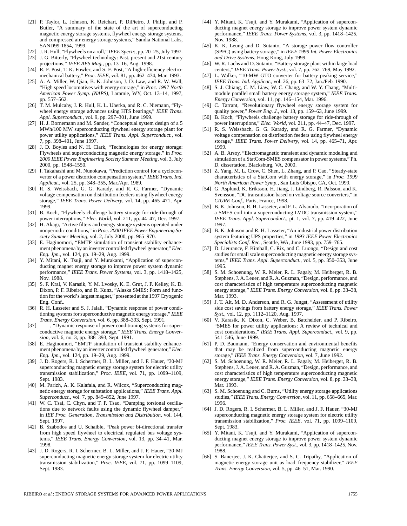- [21] P. Taylor, L. Johnson, K. Reichart, P. DiPietro, J. Philip, and P. Butler, "A summary of the state of the art of superconducting magnetic energy storage systems, flywheel energy storage systems, and compressed air energy storage systems," Sandia National Labs, SAND99-1854, 1999.
- [22] J. R. Hull, "Flywheels on a roll," *IEEE Spectr.*, pp. 20–25, July 1997.
- [23] J. G. Bitterly, "Flywheel technology: Past, present and 21st century projections," *IEEE AES Mag.*, pp. 13–16, Aug. 1998.
- [24] R. F. Post, T. K. Fowler, and S. F. Post, "A high-efficiency electromechanical battery," *Proc. IEEE*, vol. 81, pp. 462–474, Mar. 1993.
- [25] A. A. Miller, W. Qian, B. K. Johnson, J. D. Law, and R. W. Wall, "High speed locomotives with energy storage," in *Proc. 1997 North American Power Symp. (NAPS)*, Laramie, WY, Oct. 13–14, 1997, pp. 557–562.
- [26] T. M. Mulcahy, J. R. Hull, K. L. Uherka, and R. C. Niemann, "Flywheel energy storage advances using HTS bearings," *IEEE Trans. Appl. Superconduct.*, vol. 9, pp. 297–301, June 1999.
- [27] H. J. Bornemann and M. Sander, "Conceptual system design of a 5 MWh/100 MW superconducting flywheel energy storage plant for power utility applications," *IEEE Trans. Appl. Superconduct.*, vol. 7, pp. 398–401, June 1997.
- [28] J. D. Boyles and N. H. Clark, "Technologies for energy storage: Flywheels and superconducting magnetic energy storage," in *Proc. 2000 IEEE Power Engineering Society Summer Meeting*, vol. 3, July 2000, pp. 1548–1550.
- [29] I. Takahashi and M. Nunokawa, "Prediction control for a cycloconverter of a power distortion compensation system," *IEEE Trans. Ind. Applicat.*, vol. 25, pp. 348–355, Mar./Apr. 1989.
- [30] R. S. Weissbach, G. G. Karady, and R. G. Farmer, "Dynamic voltage compensation on distribution feeders using flywheel energy storage," *IEEE Trans. Power Delivery*, vol. 14, pp. 465–471, Apr. 1999.
- [31] B. Koch, "Flywheels challenge battery storage for ride-through of power interruptions," *Elec. World*, vol. 211, pp. 44–47, Dec. 1997.
- [32] H. Akagi, "Active filters and energy storage systems operated under nonperiodic conditions," in *Proc. 2000 IEEE Power Engineering Society Summer Meeting*, vol. 2, July 2000, pp. 965–970.
- [33] E. Haginomori, "EMTP simulation of transient stability enhancement phenomena by an inverter controlled flywheel generator," *Elec. Eng. Jpn.*, vol. 124, pp. 19–29, Aug. 1999.
- [34] Y. Mitani, K. Tsuji, and Y. Murakami, "Application of superconducting magnet energy storage to improve power system dynamic performance," *IEEE Trans. Power Systems*, vol. 3, pp. 1418–1425, Nov. 1988.
- [35] S. F. Kral, V. Karasik, Y. M. Lvosky, K. E. Grut, J. P. Kelley, K. D. Dixon, P. F. Ribeiro, and R. Kunz, "Alaska SMES: Form and function for the world's largest magnet," presented at the 1997 Cryogenic Eng. Conf..
- [36] R. H. Lasseter and S. J. Jalali, "Dynamic response of power conditioning systems for superconductive magnetic energy storage," *IEEE Trans. Energy Conversion*, vol. 6, pp. 388–393, Sept. 1991.
- [37]  $\longrightarrow$ , "Dynamic response of power conditioning systems for superconductive magnetic energy storage," *IEEE Trans. Energy Conversion*, vol. 6, no. 3, pp. 388–393, Sept. 1991.
- [38] E. Haginomori, "EMTP simulation of transient stability enhancement phenomena by an inverter controlled flywheel generator," *Elec. Eng. Jpn.*, vol. 124, pp. 19–29, Aug. 1999.
- [39] J. D. Rogers, R. I. Schermer, B. L. Miller, and J. F. Hauer, "30-MJ superconducting magnetic energy storage system for electric utility transmission stabilization," *Proc. IEEE*, vol. 71, pp. 1099–1109, Sept. 1983.
- [40] M. Parizh, A. K. Kalafala, and R. Wilcox, "Superconducting magnetic energy storage for substation applications," *IEEE Trans. Appl. Superconduct.*, vol. 7, pp. 849–852, June 1997.
- [41] W. C. Tsai, C. Chyn, and T. P. Tsao, "Damping torsional oscillations due to network faults using the dynamic flywheel damper," in *IEE Proc. Generation, Transmission and Distribution*, vol. 144, Sept. 1997.
- [42] B. Szabodos and U. Schaible, "Peak power bi-directional transfer from high speed flywheel to electrical regulated bus voltage systems," *IEEE Trans. Energy Conversion*, vol. 13, pp. 34–41, Mar. 1998.
- [43] J. D. Rogers, R. I. Schermer, B. L. Miller, and J. F. Hauer, "30-MJ superconducting magnetic energy storage system for electric utility transmission stabilization," *Proc. IEEE*, vol. 71, pp. 1099–1109, Sept. 1983.
- [44] Y. Mitani, K. Tsuji, and Y. Murakami, "Application of superconducting magnet energy storage to improve power system dynamic performance," *IEEE Trans. Power Systems*, vol. 3, pp. 1418–1425, Nov. 1988.
- [45] K. K. Leung and D. Sutanto, "A storage power flow controller (SPFC) using battery storage," in *IEEE 1999 Int. Power Electronics and Drive Systems*, Hong Kong, July 1999.
- [46] W. R. Lachs and D. Sutanto, "Battery storage plant within large load centers," *IEEE Trans. Power Syst.*, vol. 7, pp. 762–769, May 1992.
- [47] L. Walker, "10-MW GTO converter for battery peaking service," *IEEE Trans. Ind. Applicat.*, vol. 26, pp. 63–72, Jan./Feb. 1990.
- [48] S. J. Chiang, C. M. Liaw, W. C. Chang, and W. Y. Chang, "Multimodule parallel small battery energy storage system," *IEEE Trans. Energy Conversion*, vol. 11, pp. 146–154, Mar. 1996.
- [49] C. Tarrant, "Revolutionary flywheel energy storage system for quality power," *Power Eng. J.*, vol. 13, pp. 159–63, June 1999.
- [50] B. Koch, "Flywheels challenge battery storage for ride-through of power interruptions," *Elec. World*, vol. 211, pp. 44–47, Dec. 1997.
- [51] R. S. Weissbach, G. G. Karady, and R. G. Farmer, "Dynamic voltage compensation on distribution feeders using flywheel energy storage," *IEEE Trans. Power Delivery*, vol. 14, pp. 465–71, Apr. 1999.
- [52] A. B. Arsoy, "Electromagnetic transient and dynamic modeling and simulation of a StatCom-SMES compensator in power systems," Ph. D. dissertation, Blacksburg, VA, 2000.
- [53] Z. Yang, M. L. Crow, C. Shen, L. Zhang, and P. Cao, "Steady-state characteristics of a StatCom with energy storage," in *Proc. 1999 North American Power Symp.*, San Luis Obispo, CA, Oct. 1999.
- [54] G. Asplund, K. Eriksson, H. Jiang, J. Lindberg, R. Palsson, and K. Svensson, "DC transmission based on voltage source converters," in *CIGRE Conf.*, Paris, France, 1998.
- [55] B. K. Johnson, R. H. Lasseter, and F. L. Alvarado, "Incorporation of a SMES coil into a superconducting LVDC transmission system," *IEEE Trans. Appl. Superconduct.*, pt. 1, vol. 7, pp. 419–422, June 1997.
- [56] B. K. Johnson and R. H. Lasseter, "An industrial power distribution system featuring UPS properties," in *1993 IEEE Power Electronics Specialists Conf. Rec.*, Seattle, WA, June 1993, pp. 759–765.
- [57] D. Lieurance, F. Kimball, C. Rix, and C. Luongo, "Design and cost studies for small scale superconducting magnetic energy storage systems," *IEEE Trans. Appl. Superconduct.*, vol. 5, pp. 350–353, June 1995.
- [58] S. M. Schoenung, W. R. Meier, R. L. Fagaly, M. Heiberger, R. B. Stephens, J. A. Leuer, and R. A. Guzman, "Design, performance, and cost characteristics of high temperature superconducting magnetic energy storage," *IEEE Trans. Energy Conversion*, vol. 8, pp. 33–38, Mar. 1993.
- [59] J. T. Alt, M. D. Anderson, and R. G. Jungst, "Assessment of utility side cost savings from battery energy storage," *IEEE Trans. Power Syst.*, vol. 12, pp. 1112–1120, Aug. 1997.
- [60] V. Karasik, K. Dixon, C. Weber, B. Batchelder, and P. Ribeiro, "SMES for power utility applications: A review of technical and cost considerations," *IEEE Trans. Appl. Superconduct.*, vol. 9, pp. 541–546, June 1999.
- [61] P. D. Baumann, "Energy conservation and environmental benefits that may be realized from superconducting magnetic energy storage," *IEEE Trans. Energy Conversion*, vol. 7, June 1992.
- [62] S. M. Schoenung, W. R. Meier, R. L. Fagaly, M. Heiberger, R. B. Stephens, J. A. Leuer, and R. A. Guzman, "Design, performance, and cost characteristics of high temperature superconducting magnetic energy storage," *IEEE Trans. Energy Conversion*, vol. 8, pp. 33–38, Mar. 1993.
- [63] S. M. Schoenung and C. Burns, "Utility energy storage applications studies," *IEEE Trans. Energy Conversion*, vol. 11, pp. 658–665, Mar. 1996.
- [64] J. D. Rogers, R. I. Schermer, B. L. Miller, and J. F. Hauer, "30-MJ superconducting magnetic energy storage system for electric utility transmission stabilization," *Proc. IEEE*, vol. 71, pp. 1099–1109, Sept. 1983.
- [65] Y. Mitani, K. Tsuji, and Y. Murakami, "Application of superconducting magnet energy storage to improve power system dynamic performance," *IEEE Trans. Power Syst.*, vol. 3, pp. 1418–1425, Nov. 1988.
- [66] S. Banerjee, J. K. Chatterjee, and S. C. Tripathy, "Application of magnetic energy storage unit as load–frequency stabilizer," *IEEE Trans. Energy Conversion*, vol. 5, pp. 46–51, Mar. 1990.